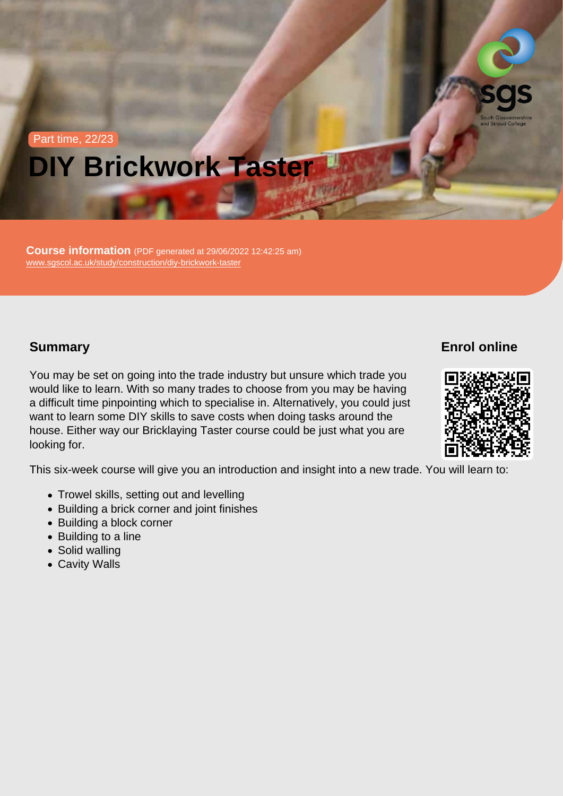# Part time, 22/23 DIY Brickwork Taster

Course information (PDF generated at 29/06/2022 12:42:25 am) [www.sgscol.ac.uk/study/construction/diy-brickwork-taster](https://www.sgscol.ac.uk/study/construction/diy-brickwork-taster)

## **Summary**

Enrol online

You may be set on going into the trade industry but unsure which trade you would like to learn. With so many trades to choose from you may be having a difficult time pinpointing which to specialise in. Alternatively, you could just want to learn some DIY skills to save costs when doing tasks around the house. Either way our Bricklaying Taster course could be just what you are looking for.

This six-week course will give you an introduction and insight into a new trade. You will learn to:

- Trowel skills, setting out and levelling
- Building a brick corner and joint finishes
- Building a block corner
- Building to a line
- Solid walling
- Cavity Walls